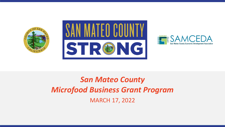





# *San Mateo County Microfood Business Grant Program* MARCH 17, 2022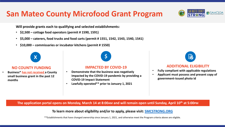# **San Mateo County Microfood Grant Program**

**Will provide grants each to qualifying and selected establishments:**

- **\$2,500 – cottage food operators (permit # 1590, 1591)**
- **\$5,000 – caterers, food trucks and food carts (permit # 1551, 1542, 1543, 1540, 1541)**
- **\$10,000 – commissaries or incubator kitchens (permit # 1550)**



### **NO COUNTY FUNDING**

• **Business\* has not received a County small business grant in the past 12 months**

### **IMPACTED BY COVID-19**

- **Demonstrate that the business was negatively impacted by the COVID-19 pandemic by providing a COVID-19 Impact Statement**
- **Lawfully operated\*\* prior to January 1, 2021**



### **ADDITIONAL ELIGIBILITY**

- **Fully compliant with applicable regulations**
- **Applicant must possess and present copy of government-issued photo id**

**The application portal opens on Monday, March 14 at 8:00AM and will remain open until Sunday, April 10th at 5:00PM**

**To learn more about eligibility and/or to apply, please visit: [SMCSTRONG.ORG](http://www.smcstrong.org/)**

\*\*Establishments that have changed ownership since January 1, 2021, and otherwise meet the Program criteria above are eligible.

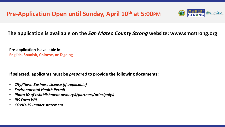

## **The application is available on the** *San Mateo County Strong* **website: www.smcstrong.org**

**Pre-application is available in: English, Spanish, Chinese, or Tagalog**

**If selected, applicants must be** *prepared* **to provide the following documents:**

- *City/Town Business License (if applicable)*
- *Environmental Health Permit*
- *Photo ID of establishment owner(s)/partners/principal(s)*
- *IRS Form W9*
- *COVID-19 Impact statement*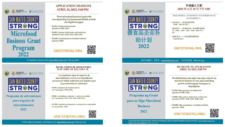



### **APPLICATION DEADLINE APRIL 10, 2022, 5:00 PM**

These microfood business types with corresponding Environmental Health permits are eligible to apply:

- \* \$2,500- Cottage food operators (permit#s1590.1591)
- . \$5,000- Caterers, food trucks, and food carts (permit #s 1551, 1542, 1543, 1540, 1541)
- \* \$10,000-Commissaries or incubator kitchens  $(permit # 1550)$

## **SMCSTRONG.ORG**



For questions, please email: sbgrant@smcgov.org or 650-413-5600



Programa de subvenciones para negocios de microalimentos 2022

### FECHA LÍMITE DE SOLICITUDES: 10 DE ABRIL DE 2022, 5:00 P.M.

- Los siguientes tipos de negocios de microalimentos con los correspondientes permisos de Salud Ambiental son elegibles para la presentación de solicitudes:
- · \$2500: operadores de comidas caseras (n.<sup>os</sup> de permiso: 1590, 1591)
- · \$5000: proveedores, camiones y carros de comida (n.<sup>os</sup> de permiso: 1551, 1542, 1543, 1540, 1541)
- · \$10 000: comedores de empresas o cocinas de uso compartido  $(n.<sup>o</sup>$  de permiso: 1550)







### 申请截止日期 2022年4月10日下午5:00

- 根据企业类型划分, 具有相应环境卫生许可证的微食品企业有资 格申请补助情况如下:
- 2500 美元 -- 农舍食品经营者 (1590、1591 许可证)
- 5000 美元 -- 饮食备办商、街头餐车和美食 车 (1551、1542、1543、1540、1541 许可 证)
- · 10000 美元 -- 小卖部或厨房孵化器 (1550 许可证)



如有任何疑问, 请联系: sbgrant@smcgov.org 电话咨询热线: 888-262-7552





Programa ng Grant para sa Mga Microfood **Business** 2022

### **DEADLINE NG APLIKASYON ABRIL 10, 2022, 5:00 PM**

- Kwalipikadong mag-apply ang mga uring ito ng microfood business na may mga kaukulang permit sa Kalusugang Nauugnay sa Kapaligiran:
- · \$2,500-Mga operator ng cottage food (permit #s 1590, 1591)
- · \$5,000- Mga caterer, food truck, at food cart (permit #s 1551, 1542, 1543, 1540, 1541)
- · \$10,000- Mga commissary o incubator kitchen (permit  $#1550$ )





Kung mayroon kang tanong, maaaring makipag-ugnay sa pamamagitan ng sumusunod: sbgrant@smcgov.org Mga Linya ng Telepono: 855-257-7474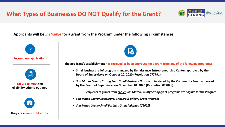# **What Types of Businesses DO NOT Qualify for the Grant?**



**Applicants will be** *ineligible* **for a grant from the Program under the following circumstances:** 



### **They are a non-profit entity**



**The applicant's establishment has received or been approved for a grant from any of the following programs:**

- **Small business relief program managed by Renaissance Entrepreneurship Center, approved by the Board of Supervisors on October 20, 2020 (Resolution 077791)**
- *San Mateo County Strong Fund Small Business Grant* **administered by the Community Fund, approved by the Board of Supervisors on November 10, 2020 (Resolution 077828)** 
	- **Recipients of grants from earlier** *San Mateo County Strong* **grant programs** *are eligible* **for the Program**
- *San Mateo County Restaurant, Brewery & Winery Grant Program*
- *San Mateo County Small Business Grant (adopted 7/2021)*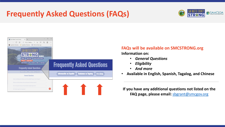# **Frequently Asked Questions (FAQs)**





# **FAQs will be available on SMCSTRONG.org**

**Information on:**

- *General Questions*
- *Eligibility*
- *And more*
- **Available in English, Spanish, Tagalog, and Chinese**

**If you have any additional questions not listed on the FAQ page, please email:** [sbgrant@smcgov.org](mailto:sbgrant@smcgov.org)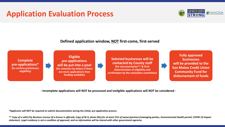# **Application Evaluation Process**



**Defined application window, NOT first-come, first-served**

**Complete pre-applications\* (to confirm preliminary eligibility)**

**Eligible pre-applications will be put into a pool (for selection by lottery if there are more applications than funding available)** 

**Selected businesses will be contacted by County staff (for documentation\*\* & final determination of eligibility and certification by the evaluation committee)**



**Fully approved businesses will be provided to the San Mateo Credit Union Community Fund for disbursement of funds**

**- Incomplete applications will NOT be processed and ineligible applications will NOT be considered -**

**\*Applicants will NOT be required to submit documentation during the** *initial, pre-application process*

*\*\* Copy of a valid City Business License (if a license is offered), Copy of W-9, photo ID(s) for at least 51% of owner/partners/managing parties, Environmental Health permit; COVID-19 impact statement. Legal residency is not a condition of approval, and no information will be shared with other government agencies*